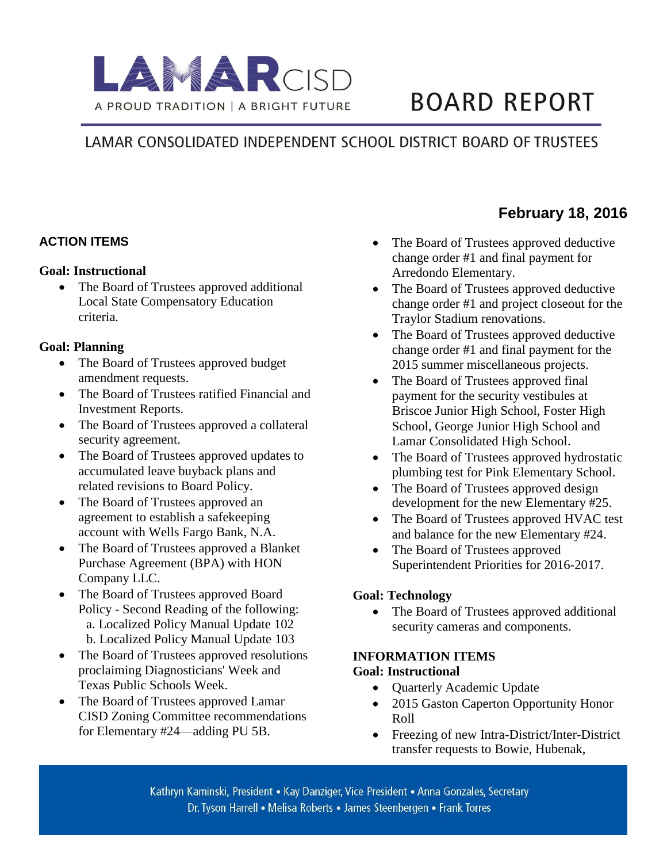

# **BOARD REPORT**

# LAMAR CONSOLIDATED INDEPENDENT SCHOOL DISTRICT BOARD OF TRUSTEES

#### **ACTION ITEMS**

#### **Goal: Instructional**

• The Board of Trustees approved additional Local State Compensatory Education criteria.

#### **Goal: Planning**

- The Board of Trustees approved budget amendment requests.
- The Board of Trustees ratified Financial and Investment Reports.
- The Board of Trustees approved a collateral security agreement.
- The Board of Trustees approved updates to accumulated leave buyback plans and related revisions to Board Policy.
- The Board of Trustees approved an agreement to establish a safekeeping account with Wells Fargo Bank, N.A.
- The Board of Trustees approved a Blanket Purchase Agreement (BPA) with HON Company LLC.
- The Board of Trustees approved Board Policy - Second Reading of the following: a. Localized Policy Manual Update 102 b. Localized Policy Manual Update 103
- The Board of Trustees approved resolutions proclaiming Diagnosticians' Week and Texas Public Schools Week.
- The Board of Trustees approved Lamar CISD Zoning Committee recommendations for Elementary #24—adding PU 5B.

• The Board of Trustees approved deductive change order #1 and final payment for Arredondo Elementary.

**February 18, 2016** 

- The Board of Trustees approved deductive change order #1 and project closeout for the Traylor Stadium renovations.
- The Board of Trustees approved deductive change order #1 and final payment for the 2015 summer miscellaneous projects.
- The Board of Trustees approved final payment for the security vestibules at Briscoe Junior High School, Foster High School, George Junior High School and Lamar Consolidated High School.
- The Board of Trustees approved hydrostatic plumbing test for Pink Elementary School.
- The Board of Trustees approved design development for the new Elementary #25.
- The Board of Trustees approved HVAC test and balance for the new Elementary #24.
- The Board of Trustees approved Superintendent Priorities for 2016-2017.

#### **Goal: Technology**

• The Board of Trustees approved additional security cameras and components.

## **INFORMATION ITEMS**

#### **Goal: Instructional**

- Quarterly Academic Update
- 2015 Gaston Caperton Opportunity Honor Roll
- Freezing of new Intra-District/Inter-District transfer requests to Bowie, Hubenak,

Kathryn Kaminski, President • Kay Danziger, Vice President • Anna Gonzales, Secretary Dr. Tyson Harrell • Melisa Roberts • James Steenbergen • Frank Torres